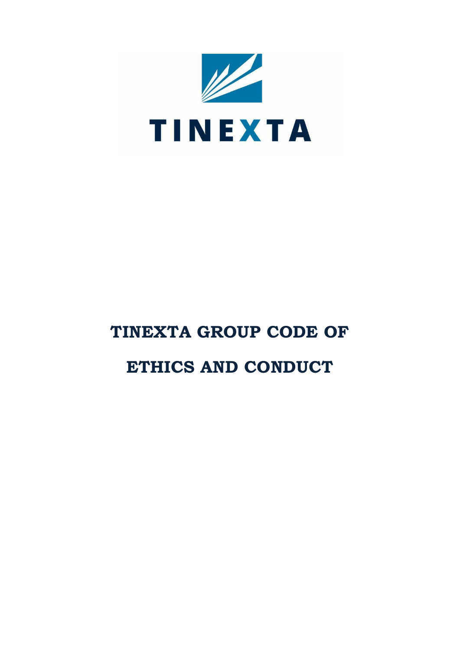

# **TINEXTA GROUP CODE OF**

## **ETHICS AND CONDUCT**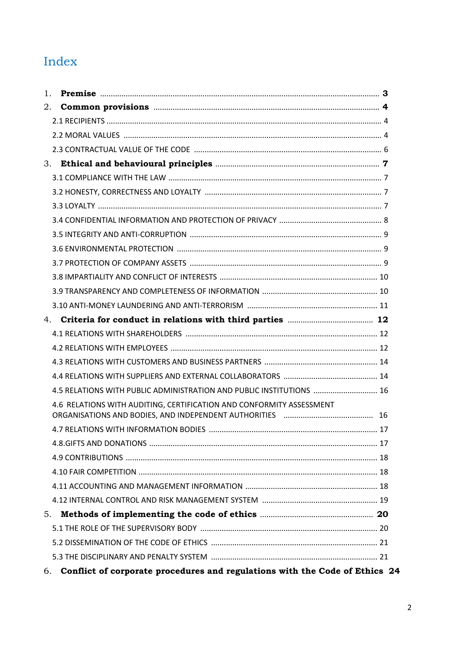## Index

| 1. |                                                                                                                        |  |
|----|------------------------------------------------------------------------------------------------------------------------|--|
| 2. |                                                                                                                        |  |
|    |                                                                                                                        |  |
|    |                                                                                                                        |  |
|    |                                                                                                                        |  |
| 3. |                                                                                                                        |  |
|    |                                                                                                                        |  |
|    |                                                                                                                        |  |
|    |                                                                                                                        |  |
|    |                                                                                                                        |  |
|    |                                                                                                                        |  |
|    |                                                                                                                        |  |
|    |                                                                                                                        |  |
|    |                                                                                                                        |  |
|    |                                                                                                                        |  |
|    |                                                                                                                        |  |
|    |                                                                                                                        |  |
|    |                                                                                                                        |  |
|    |                                                                                                                        |  |
|    |                                                                                                                        |  |
|    |                                                                                                                        |  |
|    | 4.5 RELATIONS WITH PUBLIC ADMINISTRATION AND PUBLIC INSTITUTIONS  16                                                   |  |
|    | 4.6 RELATIONS WITH AUDITING, CERTIFICATION AND CONFORMITY ASSESSMENT                                                   |  |
|    | ORGANISATIONS AND BODIES, AND INDEPENDENT AUTHORITIES [10] [10] MILLONISATIONS AND BODIES, AND INDEPENDENT AUTHORITIES |  |
|    |                                                                                                                        |  |
|    |                                                                                                                        |  |
|    |                                                                                                                        |  |
|    |                                                                                                                        |  |
|    |                                                                                                                        |  |
|    |                                                                                                                        |  |
| 5. |                                                                                                                        |  |
|    |                                                                                                                        |  |
|    |                                                                                                                        |  |
|    |                                                                                                                        |  |
| 6. | Conflict of corporate procedures and regulations with the Code of Ethics 24                                            |  |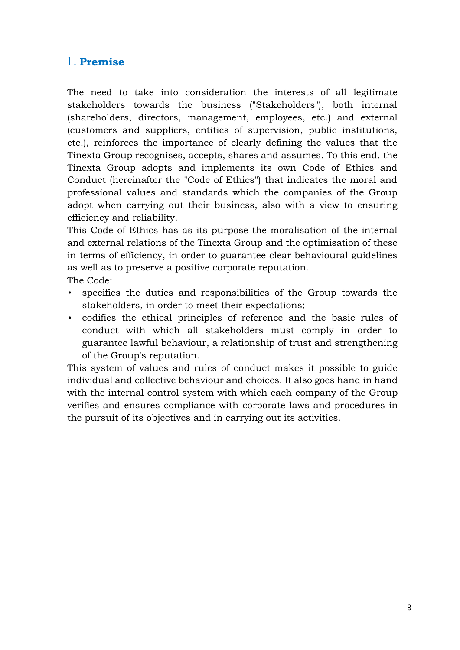## <span id="page-2-0"></span>1. **Premise**

The need to take into consideration the interests of all legitimate stakeholders towards the business ("Stakeholders"), both internal (shareholders, directors, management, employees, etc.) and external (customers and suppliers, entities of supervision, public institutions, etc.), reinforces the importance of clearly defining the values that the Tinexta Group recognises, accepts, shares and assumes. To this end, the Tinexta Group adopts and implements its own Code of Ethics and Conduct (hereinafter the "Code of Ethics") that indicates the moral and professional values and standards which the companies of the Group adopt when carrying out their business, also with a view to ensuring efficiency and reliability.

This Code of Ethics has as its purpose the moralisation of the internal and external relations of the Tinexta Group and the optimisation of these in terms of efficiency, in order to guarantee clear behavioural guidelines as well as to preserve a positive corporate reputation.

The Code:

- specifies the duties and responsibilities of the Group towards the stakeholders, in order to meet their expectations;
- codifies the ethical principles of reference and the basic rules of conduct with which all stakeholders must comply in order to guarantee lawful behaviour, a relationship of trust and strengthening of the Group's reputation.

This system of values and rules of conduct makes it possible to guide individual and collective behaviour and choices. It also goes hand in hand with the internal control system with which each company of the Group verifies and ensures compliance with corporate laws and procedures in the pursuit of its objectives and in carrying out its activities.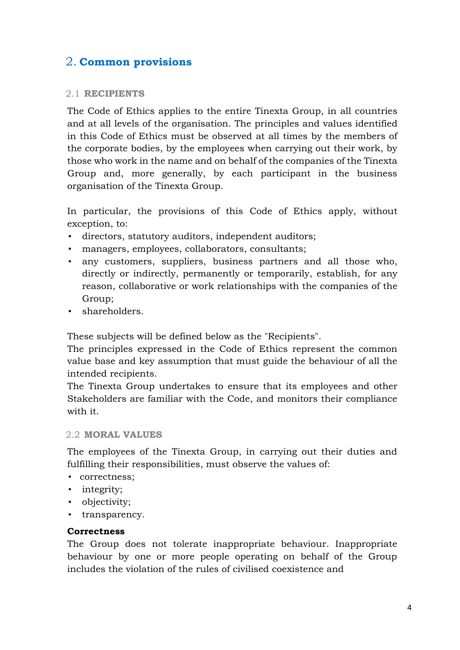## <span id="page-3-0"></span>2. **Common provisions**

## <span id="page-3-1"></span>2.1 **RECIPIENTS**

The Code of Ethics applies to the entire Tinexta Group, in all countries and at all levels of the organisation. The principles and values identified in this Code of Ethics must be observed at all times by the members of the corporate bodies, by the employees when carrying out their work, by those who work in the name and on behalf of the companies of the Tinexta Group and, more generally, by each participant in the business organisation of the Tinexta Group.

In particular, the provisions of this Code of Ethics apply, without exception, to:

- directors, statutory auditors, independent auditors;
- managers, employees, collaborators, consultants;
- any customers, suppliers, business partners and all those who, directly or indirectly, permanently or temporarily, establish, for any reason, collaborative or work relationships with the companies of the Group;
- shareholders.

These subjects will be defined below as the "Recipients".

The principles expressed in the Code of Ethics represent the common value base and key assumption that must guide the behaviour of all the intended recipients.

The Tinexta Group undertakes to ensure that its employees and other Stakeholders are familiar with the Code, and monitors their compliance with it.

## <span id="page-3-2"></span>2.2 **MORAL VALUES**

The employees of the Tinexta Group, in carrying out their duties and fulfilling their responsibilities, must observe the values of:

- correctness;
- integrity;
- objectivity;
- transparency.

### **Correctness**

The Group does not tolerate inappropriate behaviour. Inappropriate behaviour by one or more people operating on behalf of the Group includes the violation of the rules of civilised coexistence and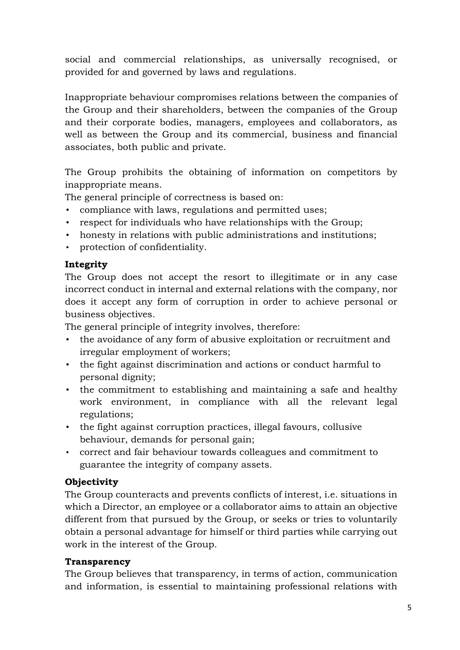social and commercial relationships, as universally recognised, or provided for and governed by laws and regulations.

Inappropriate behaviour compromises relations between the companies of the Group and their shareholders, between the companies of the Group and their corporate bodies, managers, employees and collaborators, as well as between the Group and its commercial, business and financial associates, both public and private.

The Group prohibits the obtaining of information on competitors by inappropriate means.

The general principle of correctness is based on:

- compliance with laws, regulations and permitted uses;
- respect for individuals who have relationships with the Group;
- honesty in relations with public administrations and institutions;
- protection of confidentiality.

## **Integrity**

The Group does not accept the resort to illegitimate or in any case incorrect conduct in internal and external relations with the company, nor does it accept any form of corruption in order to achieve personal or business objectives.

The general principle of integrity involves, therefore:

- the avoidance of any form of abusive exploitation or recruitment and irregular employment of workers;
- the fight against discrimination and actions or conduct harmful to personal dignity;
- the commitment to establishing and maintaining a safe and healthy work environment, in compliance with all the relevant legal regulations;
- the fight against corruption practices, illegal favours, collusive behaviour, demands for personal gain;
- correct and fair behaviour towards colleagues and commitment to guarantee the integrity of company assets.

## **Objectivity**

The Group counteracts and prevents conflicts of interest, i.e. situations in which a Director, an employee or a collaborator aims to attain an objective different from that pursued by the Group, or seeks or tries to voluntarily obtain a personal advantage for himself or third parties while carrying out work in the interest of the Group.

## **Transparency**

The Group believes that transparency, in terms of action, communication and information, is essential to maintaining professional relations with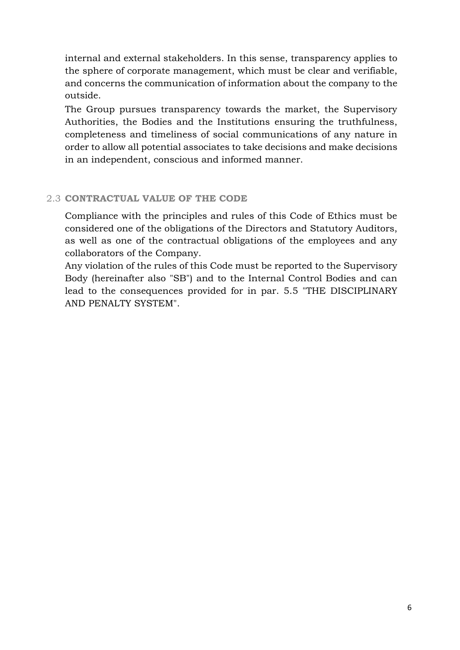internal and external stakeholders. In this sense, transparency applies to the sphere of corporate management, which must be clear and verifiable, and concerns the communication of information about the company to the outside.

The Group pursues transparency towards the market, the Supervisory Authorities, the Bodies and the Institutions ensuring the truthfulness, completeness and timeliness of social communications of any nature in order to allow all potential associates to take decisions and make decisions in an independent, conscious and informed manner.

## <span id="page-5-0"></span>2.3 **CONTRACTUAL VALUE OF THE CODE**

Compliance with the principles and rules of this Code of Ethics must be considered one of the obligations of the Directors and Statutory Auditors, as well as one of the contractual obligations of the employees and any collaborators of the Company.

Any violation of the rules of this Code must be reported to the Supervisory Body (hereinafter also "SB") and to the Internal Control Bodies and can lead to the consequences provided for in par. 5.5 "THE DISCIPLINARY AND PENALTY SYSTEM".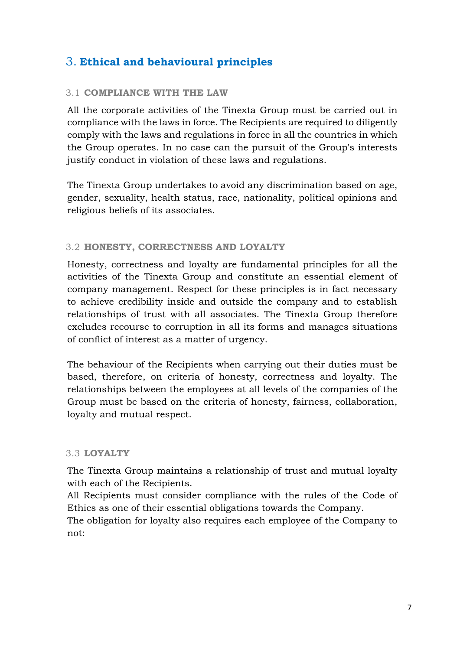## <span id="page-6-0"></span>3. **Ethical and behavioural principles**

### <span id="page-6-1"></span>3.1 **COMPLIANCE WITH THE LAW**

All the corporate activities of the Tinexta Group must be carried out in compliance with the laws in force. The Recipients are required to diligently comply with the laws and regulations in force in all the countries in which the Group operates. In no case can the pursuit of the Group's interests justify conduct in violation of these laws and regulations.

The Tinexta Group undertakes to avoid any discrimination based on age, gender, sexuality, health status, race, nationality, political opinions and religious beliefs of its associates.

### <span id="page-6-2"></span>3.2 **HONESTY, CORRECTNESS AND LOYALTY**

Honesty, correctness and loyalty are fundamental principles for all the activities of the Tinexta Group and constitute an essential element of company management. Respect for these principles is in fact necessary to achieve credibility inside and outside the company and to establish relationships of trust with all associates. The Tinexta Group therefore excludes recourse to corruption in all its forms and manages situations of conflict of interest as a matter of urgency.

The behaviour of the Recipients when carrying out their duties must be based, therefore, on criteria of honesty, correctness and loyalty. The relationships between the employees at all levels of the companies of the Group must be based on the criteria of honesty, fairness, collaboration, loyalty and mutual respect.

### <span id="page-6-3"></span>3.3 **LOYALTY**

The Tinexta Group maintains a relationship of trust and mutual loyalty with each of the Recipients.

All Recipients must consider compliance with the rules of the Code of Ethics as one of their essential obligations towards the Company.

The obligation for loyalty also requires each employee of the Company to not: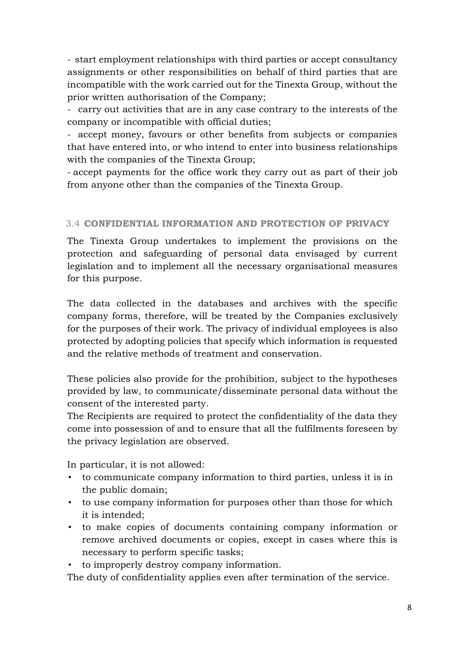- start employment relationships with third parties or accept consultancy assignments or other responsibilities on behalf of third parties that are incompatible with the work carried out for the Tinexta Group, without the prior written authorisation of the Company;

- carry out activities that are in any case contrary to the interests of the company or incompatible with official duties;

- accept money, favours or other benefits from subjects or companies that have entered into, or who intend to enter into business relationships with the companies of the Tinexta Group;

- accept payments for the office work they carry out as part of their job from anyone other than the companies of the Tinexta Group.

## <span id="page-7-0"></span>3.4 **CONFIDENTIAL INFORMATION AND PROTECTION OF PRIVACY**

The Tinexta Group undertakes to implement the provisions on the protection and safeguarding of personal data envisaged by current legislation and to implement all the necessary organisational measures for this purpose.

The data collected in the databases and archives with the specific company forms, therefore, will be treated by the Companies exclusively for the purposes of their work. The privacy of individual employees is also protected by adopting policies that specify which information is requested and the relative methods of treatment and conservation.

These policies also provide for the prohibition, subject to the hypotheses provided by law, to communicate/disseminate personal data without the consent of the interested party.

The Recipients are required to protect the confidentiality of the data they come into possession of and to ensure that all the fulfilments foreseen by the privacy legislation are observed.

In particular, it is not allowed:

- to communicate company information to third parties, unless it is in the public domain;
- to use company information for purposes other than those for which it is intended;
- to make copies of documents containing company information or remove archived documents or copies, except in cases where this is necessary to perform specific tasks;

• to improperly destroy company information.

The duty of confidentiality applies even after termination of the service.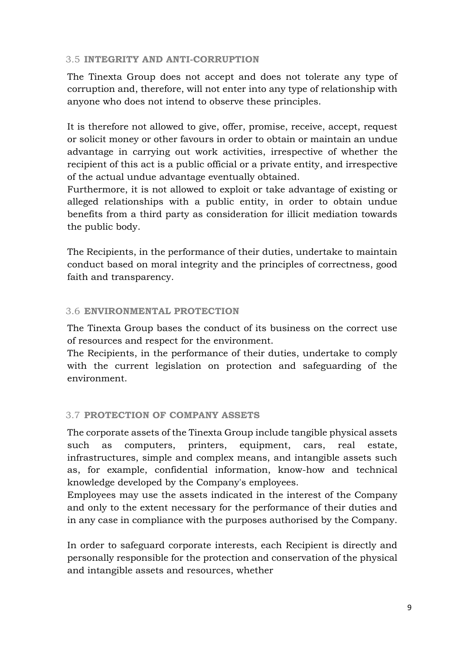## <span id="page-8-0"></span>3.5 **INTEGRITY AND ANTI-CORRUPTION**

The Tinexta Group does not accept and does not tolerate any type of corruption and, therefore, will not enter into any type of relationship with anyone who does not intend to observe these principles.

It is therefore not allowed to give, offer, promise, receive, accept, request or solicit money or other favours in order to obtain or maintain an undue advantage in carrying out work activities, irrespective of whether the recipient of this act is a public official or a private entity, and irrespective of the actual undue advantage eventually obtained.

Furthermore, it is not allowed to exploit or take advantage of existing or alleged relationships with a public entity, in order to obtain undue benefits from a third party as consideration for illicit mediation towards the public body.

The Recipients, in the performance of their duties, undertake to maintain conduct based on moral integrity and the principles of correctness, good faith and transparency.

## <span id="page-8-1"></span>3.6 **ENVIRONMENTAL PROTECTION**

The Tinexta Group bases the conduct of its business on the correct use of resources and respect for the environment.

The Recipients, in the performance of their duties, undertake to comply with the current legislation on protection and safeguarding of the environment.

## <span id="page-8-2"></span>3.7 **PROTECTION OF COMPANY ASSETS**

The corporate assets of the Tinexta Group include tangible physical assets such as computers, printers, equipment, cars, real estate, infrastructures, simple and complex means, and intangible assets such as, for example, confidential information, know-how and technical knowledge developed by the Company's employees.

Employees may use the assets indicated in the interest of the Company and only to the extent necessary for the performance of their duties and in any case in compliance with the purposes authorised by the Company.

In order to safeguard corporate interests, each Recipient is directly and personally responsible for the protection and conservation of the physical and intangible assets and resources, whether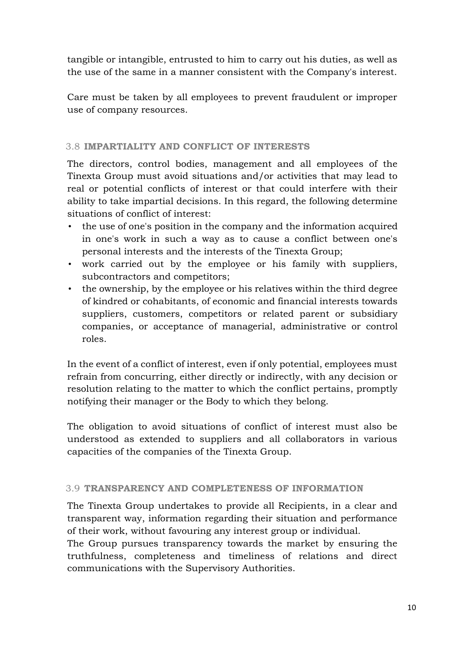tangible or intangible, entrusted to him to carry out his duties, as well as the use of the same in a manner consistent with the Company's interest.

Care must be taken by all employees to prevent fraudulent or improper use of company resources.

## <span id="page-9-0"></span>3.8 **IMPARTIALITY AND CONFLICT OF INTERESTS**

The directors, control bodies, management and all employees of the Tinexta Group must avoid situations and/or activities that may lead to real or potential conflicts of interest or that could interfere with their ability to take impartial decisions. In this regard, the following determine situations of conflict of interest:

- the use of one's position in the company and the information acquired in one's work in such a way as to cause a conflict between one's personal interests and the interests of the Tinexta Group;
- work carried out by the employee or his family with suppliers, subcontractors and competitors;
- the ownership, by the employee or his relatives within the third degree of kindred or cohabitants, of economic and financial interests towards suppliers, customers, competitors or related parent or subsidiary companies, or acceptance of managerial, administrative or control roles.

In the event of a conflict of interest, even if only potential, employees must refrain from concurring, either directly or indirectly, with any decision or resolution relating to the matter to which the conflict pertains, promptly notifying their manager or the Body to which they belong.

The obligation to avoid situations of conflict of interest must also be understood as extended to suppliers and all collaborators in various capacities of the companies of the Tinexta Group.

## <span id="page-9-1"></span>3.9 **TRANSPARENCY AND COMPLETENESS OF INFORMATION**

The Tinexta Group undertakes to provide all Recipients, in a clear and transparent way, information regarding their situation and performance of their work, without favouring any interest group or individual.

The Group pursues transparency towards the market by ensuring the truthfulness, completeness and timeliness of relations and direct communications with the Supervisory Authorities.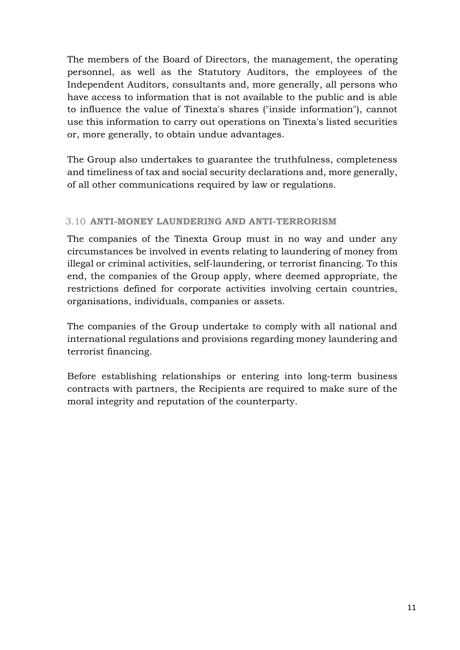The members of the Board of Directors, the management, the operating personnel, as well as the Statutory Auditors, the employees of the Independent Auditors, consultants and, more generally, all persons who have access to information that is not available to the public and is able to influence the value of Tinexta's shares ("inside information"), cannot use this information to carry out operations on Tinexta's listed securities or, more generally, to obtain undue advantages.

The Group also undertakes to guarantee the truthfulness, completeness and timeliness of tax and social security declarations and, more generally, of all other communications required by law or regulations.

## <span id="page-10-0"></span>3.10 **ANTI-MONEY LAUNDERING AND ANTI-TERRORISM**

The companies of the Tinexta Group must in no way and under any circumstances be involved in events relating to laundering of money from illegal or criminal activities, self-laundering, or terrorist financing. To this end, the companies of the Group apply, where deemed appropriate, the restrictions defined for corporate activities involving certain countries, organisations, individuals, companies or assets.

The companies of the Group undertake to comply with all national and international regulations and provisions regarding money laundering and terrorist financing.

Before establishing relationships or entering into long-term business contracts with partners, the Recipients are required to make sure of the moral integrity and reputation of the counterparty.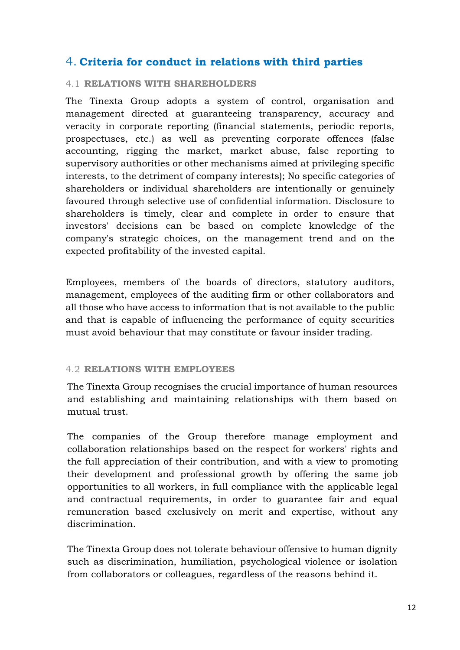## <span id="page-11-0"></span>4. **Criteria for conduct in relations with third parties**

### <span id="page-11-1"></span>4.1 **RELATIONS WITH SHAREHOLDERS**

The Tinexta Group adopts a system of control, organisation and management directed at guaranteeing transparency, accuracy and veracity in corporate reporting (financial statements, periodic reports, prospectuses, etc.) as well as preventing corporate offences (false accounting, rigging the market, market abuse, false reporting to supervisory authorities or other mechanisms aimed at privileging specific interests, to the detriment of company interests); No specific categories of shareholders or individual shareholders are intentionally or genuinely favoured through selective use of confidential information. Disclosure to shareholders is timely, clear and complete in order to ensure that investors' decisions can be based on complete knowledge of the company's strategic choices, on the management trend and on the expected profitability of the invested capital.

Employees, members of the boards of directors, statutory auditors, management, employees of the auditing firm or other collaborators and all those who have access to information that is not available to the public and that is capable of influencing the performance of equity securities must avoid behaviour that may constitute or favour insider trading.

### <span id="page-11-2"></span>4.2 **RELATIONS WITH EMPLOYEES**

The Tinexta Group recognises the crucial importance of human resources and establishing and maintaining relationships with them based on mutual trust.

The companies of the Group therefore manage employment and collaboration relationships based on the respect for workers' rights and the full appreciation of their contribution, and with a view to promoting their development and professional growth by offering the same job opportunities to all workers, in full compliance with the applicable legal and contractual requirements, in order to guarantee fair and equal remuneration based exclusively on merit and expertise, without any discrimination.

The Tinexta Group does not tolerate behaviour offensive to human dignity such as discrimination, humiliation, psychological violence or isolation from collaborators or colleagues, regardless of the reasons behind it.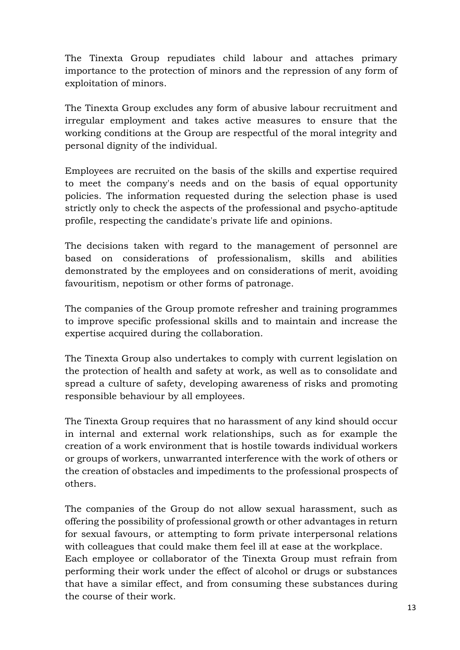The Tinexta Group repudiates child labour and attaches primary importance to the protection of minors and the repression of any form of exploitation of minors.

The Tinexta Group excludes any form of abusive labour recruitment and irregular employment and takes active measures to ensure that the working conditions at the Group are respectful of the moral integrity and personal dignity of the individual.

Employees are recruited on the basis of the skills and expertise required to meet the company's needs and on the basis of equal opportunity policies. The information requested during the selection phase is used strictly only to check the aspects of the professional and psycho-aptitude profile, respecting the candidate's private life and opinions.

The decisions taken with regard to the management of personnel are based on considerations of professionalism, skills and abilities demonstrated by the employees and on considerations of merit, avoiding favouritism, nepotism or other forms of patronage.

The companies of the Group promote refresher and training programmes to improve specific professional skills and to maintain and increase the expertise acquired during the collaboration.

The Tinexta Group also undertakes to comply with current legislation on the protection of health and safety at work, as well as to consolidate and spread a culture of safety, developing awareness of risks and promoting responsible behaviour by all employees.

The Tinexta Group requires that no harassment of any kind should occur in internal and external work relationships, such as for example the creation of a work environment that is hostile towards individual workers or groups of workers, unwarranted interference with the work of others or the creation of obstacles and impediments to the professional prospects of others.

The companies of the Group do not allow sexual harassment, such as offering the possibility of professional growth or other advantages in return for sexual favours, or attempting to form private interpersonal relations with colleagues that could make them feel ill at ease at the workplace. Each employee or collaborator of the Tinexta Group must refrain from performing their work under the effect of alcohol or drugs or substances that have a similar effect, and from consuming these substances during the course of their work.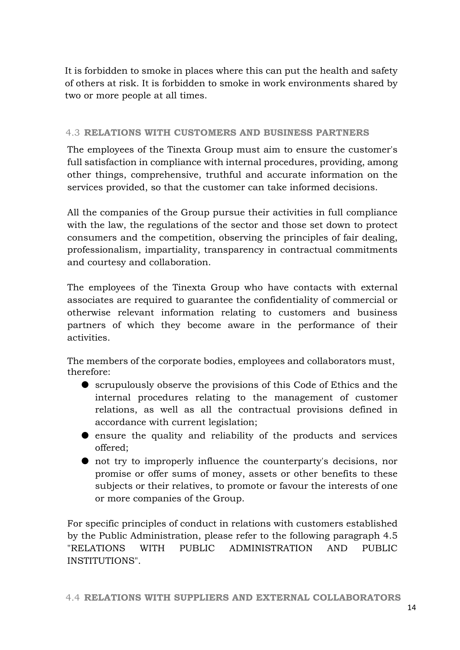It is forbidden to smoke in places where this can put the health and safety of others at risk. It is forbidden to smoke in work environments shared by two or more people at all times.

## <span id="page-13-0"></span>4.3 **RELATIONS WITH CUSTOMERS AND BUSINESS PARTNERS**

The employees of the Tinexta Group must aim to ensure the customer's full satisfaction in compliance with internal procedures, providing, among other things, comprehensive, truthful and accurate information on the services provided, so that the customer can take informed decisions.

All the companies of the Group pursue their activities in full compliance with the law, the regulations of the sector and those set down to protect consumers and the competition, observing the principles of fair dealing, professionalism, impartiality, transparency in contractual commitments and courtesy and collaboration.

The employees of the Tinexta Group who have contacts with external associates are required to guarantee the confidentiality of commercial or otherwise relevant information relating to customers and business partners of which they become aware in the performance of their activities.

The members of the corporate bodies, employees and collaborators must, therefore:

- scrupulously observe the provisions of this Code of Ethics and the internal procedures relating to the management of customer relations, as well as all the contractual provisions defined in accordance with current legislation;
- ensure the quality and reliability of the products and services offered;
- not try to improperly influence the counterparty's decisions, nor promise or offer sums of money, assets or other benefits to these subjects or their relatives, to promote or favour the interests of one or more companies of the Group.

<span id="page-13-1"></span>For specific principles of conduct in relations with customers established by the Public Administration, please refer to the following paragraph 4.5 "RELATIONS WITH PUBLIC ADMINISTRATION AND PUBLIC INSTITUTIONS".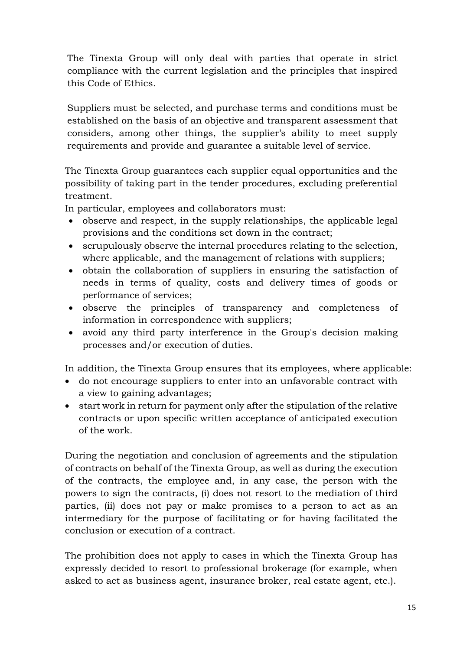The Tinexta Group will only deal with parties that operate in strict compliance with the current legislation and the principles that inspired this Code of Ethics.

Suppliers must be selected, and purchase terms and conditions must be established on the basis of an objective and transparent assessment that considers, among other things, the supplier's ability to meet supply requirements and provide and guarantee a suitable level of service.

The Tinexta Group guarantees each supplier equal opportunities and the possibility of taking part in the tender procedures, excluding preferential treatment.

In particular, employees and collaborators must:

- observe and respect, in the supply relationships, the applicable legal provisions and the conditions set down in the contract;
- scrupulously observe the internal procedures relating to the selection, where applicable, and the management of relations with suppliers;
- obtain the collaboration of suppliers in ensuring the satisfaction of needs in terms of quality, costs and delivery times of goods or performance of services;
- observe the principles of transparency and completeness of information in correspondence with suppliers;
- avoid any third party interference in the Group's decision making processes and/or execution of duties.

In addition, the Tinexta Group ensures that its employees, where applicable:

- do not encourage suppliers to enter into an unfavorable contract with a view to gaining advantages;
- start work in return for payment only after the stipulation of the relative contracts or upon specific written acceptance of anticipated execution of the work.

During the negotiation and conclusion of agreements and the stipulation of contracts on behalf of the Tinexta Group, as well as during the execution of the contracts, the employee and, in any case, the person with the powers to sign the contracts, (i) does not resort to the mediation of third parties, (ii) does not pay or make promises to a person to act as an intermediary for the purpose of facilitating or for having facilitated the conclusion or execution of a contract.

The prohibition does not apply to cases in which the Tinexta Group has expressly decided to resort to professional brokerage (for example, when asked to act as business agent, insurance broker, real estate agent, etc.).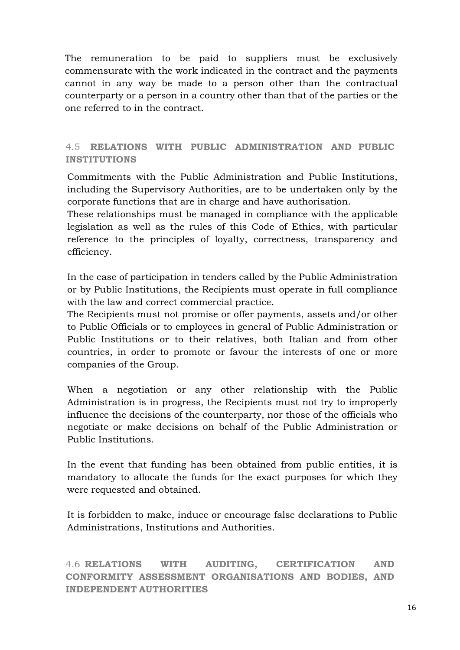The remuneration to be paid to suppliers must be exclusively commensurate with the work indicated in the contract and the payments cannot in any way be made to a person other than the contractual counterparty or a person in a country other than that of the parties or the one referred to in the contract.

## <span id="page-15-0"></span>4.5 **RELATIONS WITH PUBLIC ADMINISTRATION AND PUBLIC INSTITUTIONS**

Commitments with the Public Administration and Public Institutions, including the Supervisory Authorities, are to be undertaken only by the corporate functions that are in charge and have authorisation.

These relationships must be managed in compliance with the applicable legislation as well as the rules of this Code of Ethics, with particular reference to the principles of loyalty, correctness, transparency and efficiency.

In the case of participation in tenders called by the Public Administration or by Public Institutions, the Recipients must operate in full compliance with the law and correct commercial practice.

The Recipients must not promise or offer payments, assets and/or other to Public Officials or to employees in general of Public Administration or Public Institutions or to their relatives, both Italian and from other countries, in order to promote or favour the interests of one or more companies of the Group.

When a negotiation or any other relationship with the Public Administration is in progress, the Recipients must not try to improperly influence the decisions of the counterparty, nor those of the officials who negotiate or make decisions on behalf of the Public Administration or Public Institutions.

In the event that funding has been obtained from public entities, it is mandatory to allocate the funds for the exact purposes for which they were requested and obtained.

It is forbidden to make, induce or encourage false declarations to Public Administrations, Institutions and Authorities.

<span id="page-15-1"></span>4.6 **RELATIONS WITH AUDITING, CERTIFICATION AND CONFORMITY ASSESSMENT ORGANISATIONS AND BODIES, AND INDEPENDENT AUTHORITIES**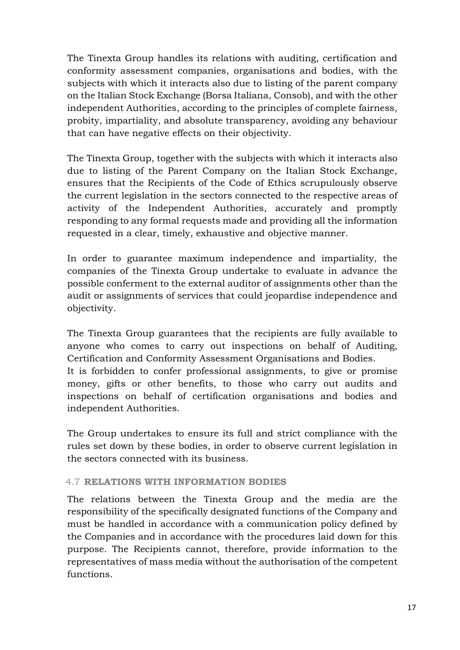The Tinexta Group handles its relations with auditing, certification and conformity assessment companies, organisations and bodies, with the subjects with which it interacts also due to listing of the parent company on the Italian Stock Exchange (Borsa Italiana, Consob), and with the other independent Authorities, according to the principles of complete fairness, probity, impartiality, and absolute transparency, avoiding any behaviour that can have negative effects on their objectivity.

The Tinexta Group, together with the subjects with which it interacts also due to listing of the Parent Company on the Italian Stock Exchange, ensures that the Recipients of the Code of Ethics scrupulously observe the current legislation in the sectors connected to the respective areas of activity of the Independent Authorities, accurately and promptly responding to any formal requests made and providing all the information requested in a clear, timely, exhaustive and objective manner.

In order to guarantee maximum independence and impartiality, the companies of the Tinexta Group undertake to evaluate in advance the possible conferment to the external auditor of assignments other than the audit or assignments of services that could jeopardise independence and objectivity.

The Tinexta Group guarantees that the recipients are fully available to anyone who comes to carry out inspections on behalf of Auditing, Certification and Conformity Assessment Organisations and Bodies. It is forbidden to confer professional assignments, to give or promise money, gifts or other benefits, to those who carry out audits and inspections on behalf of certification organisations and bodies and independent Authorities.

The Group undertakes to ensure its full and strict compliance with the rules set down by these bodies, in order to observe current legislation in the sectors connected with its business.

## <span id="page-16-0"></span>4.7 **RELATIONS WITH INFORMATION BODIES**

The relations between the Tinexta Group and the media are the responsibility of the specifically designated functions of the Company and must be handled in accordance with a communication policy defined by the Companies and in accordance with the procedures laid down for this purpose. The Recipients cannot, therefore, provide information to the representatives of mass media without the authorisation of the competent functions.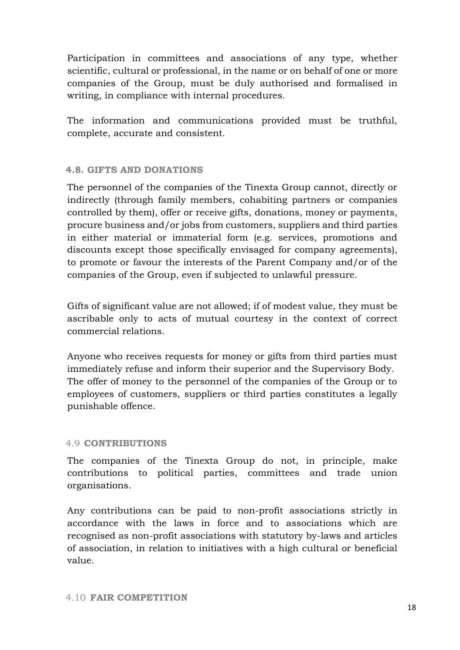Participation in committees and associations of any type, whether scientific, cultural or professional, in the name or on behalf of one or more companies of the Group, must be duly authorised and formalised in writing, in compliance with internal procedures.

The information and communications provided must be truthful, complete, accurate and consistent.

## <span id="page-17-0"></span>**4.8. GIFTS AND DONATIONS**

The personnel of the companies of the Tinexta Group cannot, directly or indirectly (through family members, cohabiting partners or companies controlled by them), offer or receive gifts, donations, money or payments, procure business and/or jobs from customers, suppliers and third parties in either material or immaterial form (e.g. services, promotions and discounts except those specifically envisaged for company agreements), to promote or favour the interests of the Parent Company and/or of the companies of the Group, even if subjected to unlawful pressure.

Gifts of significant value are not allowed; if of modest value, they must be ascribable only to acts of mutual courtesy in the context of correct commercial relations.

Anyone who receives requests for money or gifts from third parties must immediately refuse and inform their superior and the Supervisory Body. The offer of money to the personnel of the companies of the Group or to employees of customers, suppliers or third parties constitutes a legally punishable offence.

### <span id="page-17-1"></span>4.9 **CONTRIBUTIONS**

The companies of the Tinexta Group do not, in principle, make contributions to political parties, committees and trade union organisations.

<span id="page-17-2"></span>Any contributions can be paid to non-profit associations strictly in accordance with the laws in force and to associations which are recognised as non-profit associations with statutory by-laws and articles of association, in relation to initiatives with a high cultural or beneficial value.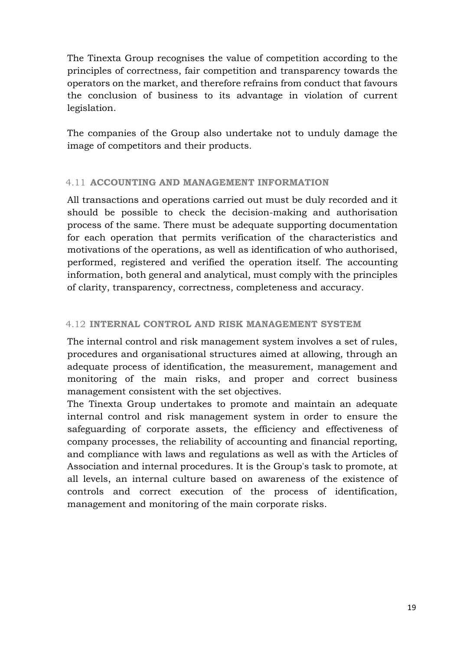The Tinexta Group recognises the value of competition according to the principles of correctness, fair competition and transparency towards the operators on the market, and therefore refrains from conduct that favours the conclusion of business to its advantage in violation of current legislation.

The companies of the Group also undertake not to unduly damage the image of competitors and their products.

## <span id="page-18-0"></span>4.11 **ACCOUNTING AND MANAGEMENT INFORMATION**

All transactions and operations carried out must be duly recorded and it should be possible to check the decision-making and authorisation process of the same. There must be adequate supporting documentation for each operation that permits verification of the characteristics and motivations of the operations, as well as identification of who authorised, performed, registered and verified the operation itself. The accounting information, both general and analytical, must comply with the principles of clarity, transparency, correctness, completeness and accuracy.

### <span id="page-18-1"></span>4.12 **INTERNAL CONTROL AND RISK MANAGEMENT SYSTEM**

The internal control and risk management system involves a set of rules, procedures and organisational structures aimed at allowing, through an adequate process of identification, the measurement, management and monitoring of the main risks, and proper and correct business management consistent with the set objectives.

The Tinexta Group undertakes to promote and maintain an adequate internal control and risk management system in order to ensure the safeguarding of corporate assets, the efficiency and effectiveness of company processes, the reliability of accounting and financial reporting, and compliance with laws and regulations as well as with the Articles of Association and internal procedures. It is the Group's task to promote, at all levels, an internal culture based on awareness of the existence of controls and correct execution of the process of identification, management and monitoring of the main corporate risks.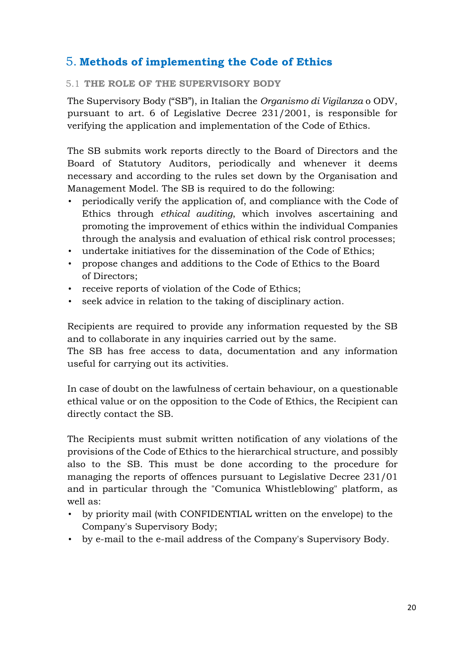## <span id="page-19-0"></span>5. **Methods of implementing the Code of Ethics**

## <span id="page-19-1"></span>5.1 **THE ROLE OF THE SUPERVISORY BODY**

The Supervisory Body ("SB"), in Italian the *Organismo di Vigilanza* o ODV, pursuant to art. 6 of Legislative Decree 231/2001, is responsible for verifying the application and implementation of the Code of Ethics.

The SB submits work reports directly to the Board of Directors and the Board of Statutory Auditors, periodically and whenever it deems necessary and according to the rules set down by the Organisation and Management Model. The SB is required to do the following:

- periodically verify the application of, and compliance with the Code of Ethics through *ethical auditing*, which involves ascertaining and promoting the improvement of ethics within the individual Companies through the analysis and evaluation of ethical risk control processes;
- undertake initiatives for the dissemination of the Code of Ethics;
- propose changes and additions to the Code of Ethics to the Board of Directors;
- receive reports of violation of the Code of Ethics;
- seek advice in relation to the taking of disciplinary action.

Recipients are required to provide any information requested by the SB and to collaborate in any inquiries carried out by the same.

The SB has free access to data, documentation and any information useful for carrying out its activities.

In case of doubt on the lawfulness of certain behaviour, on a questionable ethical value or on the opposition to the Code of Ethics, the Recipient can directly contact the SB.

The Recipients must submit written notification of any violations of the provisions of the Code of Ethics to the hierarchical structure, and possibly also to the SB. This must be done according to the procedure for managing the reports of offences pursuant to Legislative Decree 231/01 and in particular through the "Comunica Whistleblowing" platform, as well as:

- by priority mail (with CONFIDENTIAL written on the envelope) to the Company's Supervisory Body;
- by e-mail to the e-mail address of the Company's Supervisory Body.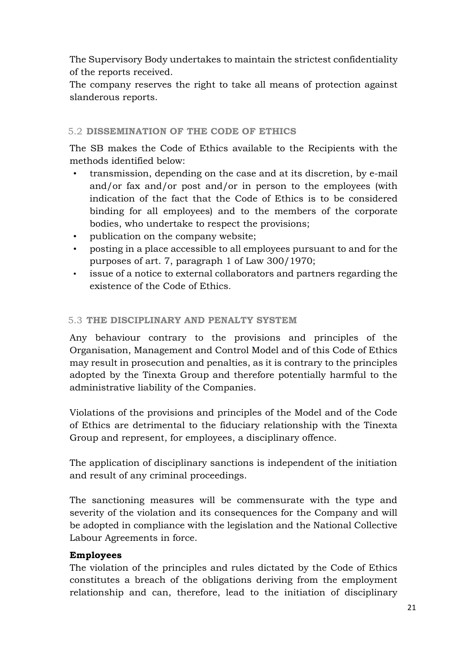The Supervisory Body undertakes to maintain the strictest confidentiality of the reports received.

The company reserves the right to take all means of protection against slanderous reports.

## <span id="page-20-0"></span>5.2 **DISSEMINATION OF THE CODE OF ETHICS**

The SB makes the Code of Ethics available to the Recipients with the methods identified below:

- transmission, depending on the case and at its discretion, by e-mail and/or fax and/or post and/or in person to the employees (with indication of the fact that the Code of Ethics is to be considered binding for all employees) and to the members of the corporate bodies, who undertake to respect the provisions;
- publication on the company website;
- posting in a place accessible to all employees pursuant to and for the purposes of art. 7, paragraph 1 of Law 300/1970;
- issue of a notice to external collaborators and partners regarding the existence of the Code of Ethics.

## <span id="page-20-1"></span>5.3 **THE DISCIPLINARY AND PENALTY SYSTEM**

Any behaviour contrary to the provisions and principles of the Organisation, Management and Control Model and of this Code of Ethics may result in prosecution and penalties, as it is contrary to the principles adopted by the Tinexta Group and therefore potentially harmful to the administrative liability of the Companies.

Violations of the provisions and principles of the Model and of the Code of Ethics are detrimental to the fiduciary relationship with the Tinexta Group and represent, for employees, a disciplinary offence.

The application of disciplinary sanctions is independent of the initiation and result of any criminal proceedings.

The sanctioning measures will be commensurate with the type and severity of the violation and its consequences for the Company and will be adopted in compliance with the legislation and the National Collective Labour Agreements in force.

## **Employees**

The violation of the principles and rules dictated by the Code of Ethics constitutes a breach of the obligations deriving from the employment relationship and can, therefore, lead to the initiation of disciplinary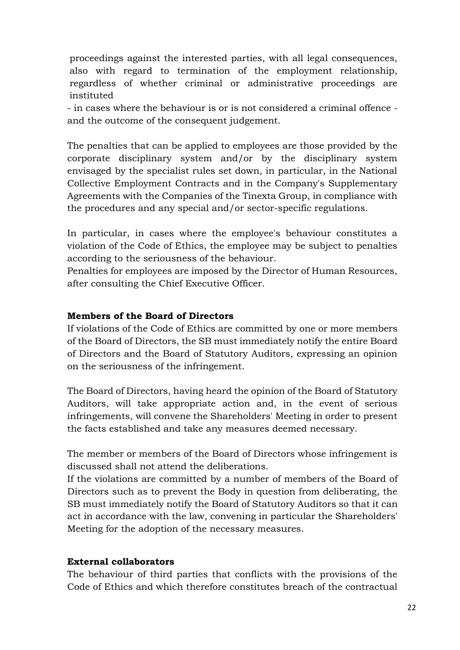proceedings against the interested parties, with all legal consequences, also with regard to termination of the employment relationship, regardless of whether criminal or administrative proceedings are instituted

- in cases where the behaviour is or is not considered a criminal offence and the outcome of the consequent judgement.

The penalties that can be applied to employees are those provided by the corporate disciplinary system and/or by the disciplinary system envisaged by the specialist rules set down, in particular, in the National Collective Employment Contracts and in the Company's Supplementary Agreements with the Companies of the Tinexta Group, in compliance with the procedures and any special and/or sector-specific regulations.

In particular, in cases where the employee's behaviour constitutes a violation of the Code of Ethics, the employee may be subject to penalties according to the seriousness of the behaviour.

Penalties for employees are imposed by the Director of Human Resources, after consulting the Chief Executive Officer.

## **Members of the Board of Directors**

If violations of the Code of Ethics are committed by one or more members of the Board of Directors, the SB must immediately notify the entire Board of Directors and the Board of Statutory Auditors, expressing an opinion on the seriousness of the infringement.

The Board of Directors, having heard the opinion of the Board of Statutory Auditors, will take appropriate action and, in the event of serious infringements, will convene the Shareholders' Meeting in order to present the facts established and take any measures deemed necessary.

The member or members of the Board of Directors whose infringement is discussed shall not attend the deliberations.

If the violations are committed by a number of members of the Board of Directors such as to prevent the Body in question from deliberating, the SB must immediately notify the Board of Statutory Auditors so that it can act in accordance with the law, convening in particular the Shareholders' Meeting for the adoption of the necessary measures.

## **External collaborators**

The behaviour of third parties that conflicts with the provisions of the Code of Ethics and which therefore constitutes breach of the contractual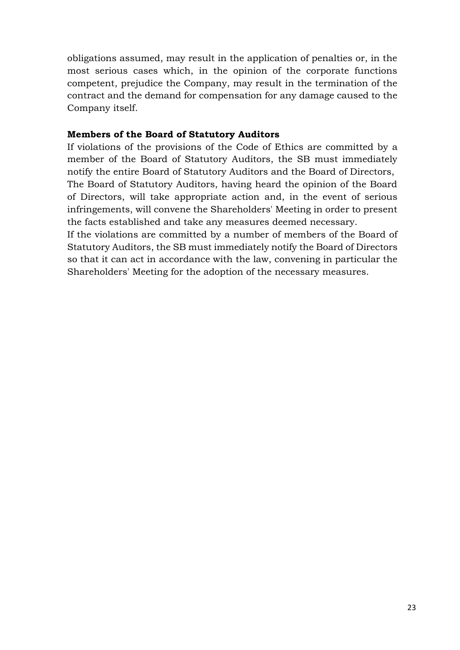obligations assumed, may result in the application of penalties or, in the most serious cases which, in the opinion of the corporate functions competent, prejudice the Company, may result in the termination of the contract and the demand for compensation for any damage caused to the Company itself.

## **Members of the Board of Statutory Auditors**

If violations of the provisions of the Code of Ethics are committed by a member of the Board of Statutory Auditors, the SB must immediately notify the entire Board of Statutory Auditors and the Board of Directors, The Board of Statutory Auditors, having heard the opinion of the Board of Directors, will take appropriate action and, in the event of serious infringements, will convene the Shareholders' Meeting in order to present the facts established and take any measures deemed necessary.

If the violations are committed by a number of members of the Board of Statutory Auditors, the SB must immediately notify the Board of Directors so that it can act in accordance with the law, convening in particular the Shareholders' Meeting for the adoption of the necessary measures.